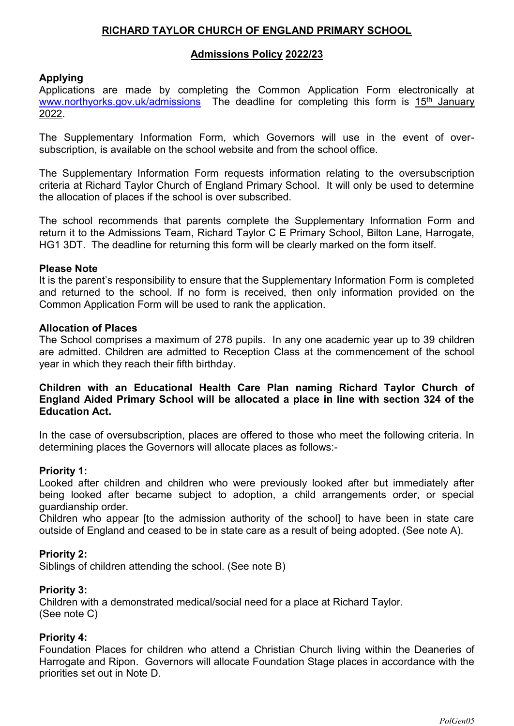# **RICHARD TAYLOR CHURCH OF ENGLAND PRIMARY SCHOOL**

### **Admissions Policy 2022/23**

# **Applying**

Applications are made by completing the Common Application Form electronically at [www.northyorks.gov.uk/admissions](http://www.northyorks.gov.uk/admissions) The deadline for completing this form is 15<sup>th</sup> January 2022.

The Supplementary Information Form, which Governors will use in the event of oversubscription, is available on the school website and from the school office.

The Supplementary Information Form requests information relating to the oversubscription criteria at Richard Taylor Church of England Primary School. It will only be used to determine the allocation of places if the school is over subscribed.

The school recommends that parents complete the Supplementary Information Form and return it to the Admissions Team, Richard Taylor C E Primary School, Bilton Lane, Harrogate, HG1 3DT. The deadline for returning this form will be clearly marked on the form itself.

#### **Please Note**

It is the parent's responsibility to ensure that the Supplementary Information Form is completed and returned to the school. If no form is received, then only information provided on the Common Application Form will be used to rank the application.

#### **Allocation of Places**

The School comprises a maximum of 278 pupils. In any one academic year up to 39 children are admitted. Children are admitted to Reception Class at the commencement of the school year in which they reach their fifth birthday.

## **Children with an Educational Health Care Plan naming Richard Taylor Church of England Aided Primary School will be allocated a place in line with section 324 of the Education Act.**

In the case of oversubscription, places are offered to those who meet the following criteria. In determining places the Governors will allocate places as follows:-

#### **Priority 1:**

Looked after children and children who were previously looked after but immediately after being looked after became subject to adoption, a child arrangements order, or special guardianship order.

Children who appear [to the admission authority of the school] to have been in state care outside of England and ceased to be in state care as a result of being adopted. (See note A).

#### **Priority 2:**

Siblings of children attending the school. (See note B)

#### **Priority 3:**

Children with a demonstrated medical/social need for a place at Richard Taylor. (See note C)

#### **Priority 4:**

Foundation Places for children who attend a Christian Church living within the Deaneries of Harrogate and Ripon. Governors will allocate Foundation Stage places in accordance with the priorities set out in Note D.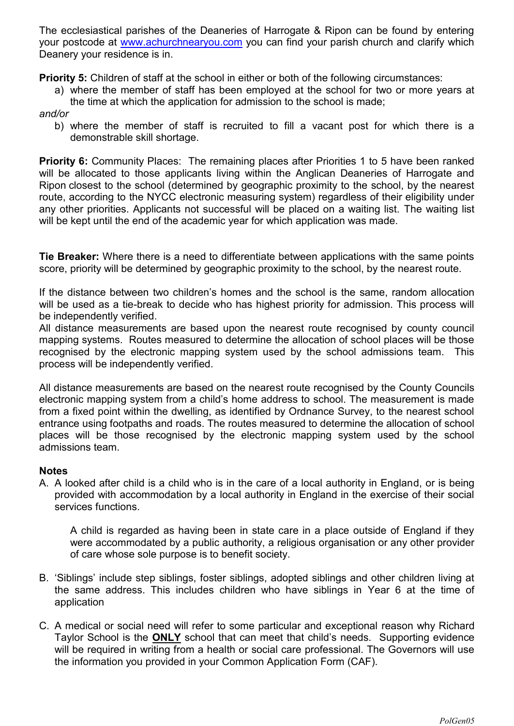The ecclesiastical parishes of the Deaneries of Harrogate & Ripon can be found by entering your postcode at [www.achurchnearyou.com](http://www.achurchnearyou.com/) you can find your parish church and clarify which Deanery your residence is in.

**Priority 5:** Children of staff at the school in either or both of the following circumstances:

a) where the member of staff has been employed at the school for two or more years at the time at which the application for admission to the school is made;

## *and/or*

b) where the member of staff is recruited to fill a vacant post for which there is a demonstrable skill shortage.

**Priority 6:** Community Places: The remaining places after Priorities 1 to 5 have been ranked will be allocated to those applicants living within the Anglican Deaneries of Harrogate and Ripon closest to the school (determined by geographic proximity to the school, by the nearest route, according to the NYCC electronic measuring system) regardless of their eligibility under any other priorities. Applicants not successful will be placed on a waiting list. The waiting list will be kept until the end of the academic year for which application was made.

**Tie Breaker:** Where there is a need to differentiate between applications with the same points score, priority will be determined by geographic proximity to the school, by the nearest route.

If the distance between two children's homes and the school is the same, random allocation will be used as a tie-break to decide who has highest priority for admission. This process will be independently verified.

All distance measurements are based upon the nearest route recognised by county council mapping systems. Routes measured to determine the allocation of school places will be those recognised by the electronic mapping system used by the school admissions team. This process will be independently verified.

All distance measurements are based on the nearest route recognised by the County Councils electronic mapping system from a child's home address to school. The measurement is made from a fixed point within the dwelling, as identified by Ordnance Survey, to the nearest school entrance using footpaths and roads. The routes measured to determine the allocation of school places will be those recognised by the electronic mapping system used by the school admissions team.

## **Notes**

A. A looked after child is a child who is in the care of a local authority in England, or is being provided with accommodation by a local authority in England in the exercise of their social services functions.

A child is regarded as having been in state care in a place outside of England if they were accommodated by a public authority, a religious organisation or any other provider of care whose sole purpose is to benefit society.

- B. 'Siblings' include step siblings, foster siblings, adopted siblings and other children living at the same address. This includes children who have siblings in Year 6 at the time of application
- C. A medical or social need will refer to some particular and exceptional reason why Richard Taylor School is the **ONLY** school that can meet that child's needs. Supporting evidence will be required in writing from a health or social care professional. The Governors will use the information you provided in your Common Application Form (CAF).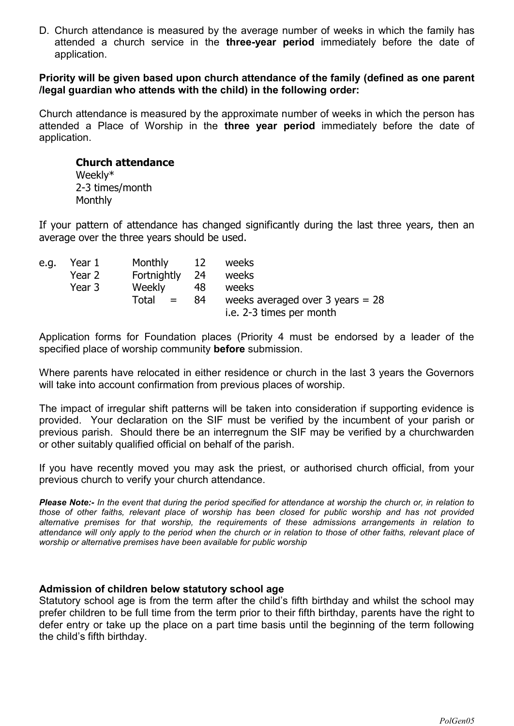D. Church attendance is measured by the average number of weeks in which the family has attended a church service in the **three-year period** immediately before the date of application.

### **Priority will be given based upon church attendance of the family (defined as one parent /legal guardian who attends with the child) in the following order:**

Church attendance is measured by the approximate number of weeks in which the person has attended a Place of Worship in the **three year period** immediately before the date of application.

# **Church attendance**  Weekly\*

2-3 times/month **Monthly** 

If your pattern of attendance has changed significantly during the last three years, then an average over the three years should be used.

| e.g. | Year 1 | Monthly 12     |     | weeks                              |
|------|--------|----------------|-----|------------------------------------|
|      | Year 2 | Fortnightly 24 |     | weeks                              |
|      | Year 3 | <b>Weekly</b>  | 48  | weeks                              |
|      |        | $Total =$      | -84 | weeks averaged over 3 years $= 28$ |
|      |        |                |     | i.e. 2-3 times per month           |

Application forms for Foundation places (Priority 4 must be endorsed by a leader of the specified place of worship community **before** submission.

Where parents have relocated in either residence or church in the last 3 years the Governors will take into account confirmation from previous places of worship.

The impact of irregular shift patterns will be taken into consideration if supporting evidence is provided. Your declaration on the SIF must be verified by the incumbent of your parish or previous parish. Should there be an interregnum the SIF may be verified by a churchwarden or other suitably qualified official on behalf of the parish.

If you have recently moved you may ask the priest, or authorised church official, from your previous church to verify your church attendance.

*Please Note:- In the event that during the period specified for attendance at worship the church or, in relation to those of other faiths, relevant place of worship has been closed for public worship and has not provided alternative premises for that worship, the requirements of these admissions arrangements in relation to*  attendance will only apply to the period when the church or in relation to those of other faiths, relevant place of *worship or alternative premises have been available for public worship*

## **Admission of children below statutory school age**

Statutory school age is from the term after the child's fifth birthday and whilst the school may prefer children to be full time from the term prior to their fifth birthday, parents have the right to defer entry or take up the place on a part time basis until the beginning of the term following the child's fifth birthday.